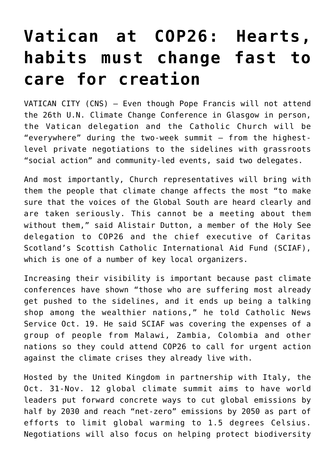## **[Vatican at COP26: Hearts,](https://www.osvnews.com/2021/10/22/vatican-at-cop26-hearts-habits-must-change-fast-to-care-for-creation/) [habits must change fast to](https://www.osvnews.com/2021/10/22/vatican-at-cop26-hearts-habits-must-change-fast-to-care-for-creation/) [care for creation](https://www.osvnews.com/2021/10/22/vatican-at-cop26-hearts-habits-must-change-fast-to-care-for-creation/)**

VATICAN CITY (CNS) — Even though Pope Francis will not attend the 26th U.N. Climate Change Conference in Glasgow in person, the Vatican delegation and the Catholic Church will be "everywhere" during the two-week summit — from the highestlevel private negotiations to the sidelines with grassroots "social action" and community-led events, said two delegates.

And most importantly, Church representatives will bring with them the people that climate change affects the most "to make sure that the voices of the Global South are heard clearly and are taken seriously. This cannot be a meeting about them without them," said Alistair Dutton, a member of the Holy See delegation to COP26 and the chief executive of Caritas Scotland's Scottish Catholic International Aid Fund (SCIAF), which is one of a number of key local organizers.

Increasing their visibility is important because past climate conferences have shown "those who are suffering most already get pushed to the sidelines, and it ends up being a talking shop among the wealthier nations," he told Catholic News Service Oct. 19. He said SCIAF was covering the expenses of a group of people from Malawi, Zambia, Colombia and other nations so they could attend COP26 to call for urgent action against the climate crises they already live with.

Hosted by the United Kingdom in partnership with Italy, the Oct. 31-Nov. 12 global climate summit aims to have world leaders put forward concrete ways to cut global emissions by half by 2030 and reach "net-zero" emissions by 2050 as part of efforts to limit global warming to 1.5 degrees Celsius. Negotiations will also focus on helping protect biodiversity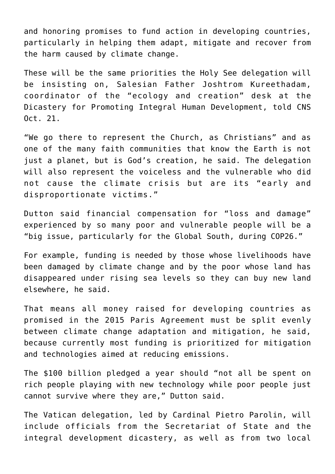and honoring promises to fund action in developing countries, particularly in helping them adapt, mitigate and recover from the harm caused by climate change.

These will be the same priorities the Holy See delegation will be insisting on, Salesian Father Joshtrom Kureethadam, coordinator of the "ecology and creation" desk at the Dicastery for Promoting Integral Human Development, told CNS Oct. 21.

"We go there to represent the Church, as Christians" and as one of the many faith communities that know the Earth is not just a planet, but is God's creation, he said. The delegation will also represent the voiceless and the vulnerable who did not cause the climate crisis but are its "early and disproportionate victims."

Dutton said financial compensation for "loss and damage" experienced by so many poor and vulnerable people will be a "big issue, particularly for the Global South, during COP26."

For example, funding is needed by those whose livelihoods have been damaged by climate change and by the poor whose land has disappeared under rising sea levels so they can buy new land elsewhere, he said.

That means all money raised for developing countries as promised in the 2015 Paris Agreement must be split evenly between climate change adaptation and mitigation, he said, because currently most funding is prioritized for mitigation and technologies aimed at reducing emissions.

The \$100 billion pledged a year should "not all be spent on rich people playing with new technology while poor people just cannot survive where they are," Dutton said.

The Vatican delegation, led by Cardinal Pietro Parolin, will include officials from the Secretariat of State and the integral development dicastery, as well as from two local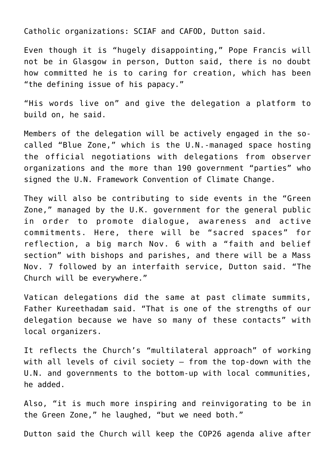Catholic organizations: SCIAF and CAFOD, Dutton said.

Even though it is "hugely disappointing," Pope Francis will not be in Glasgow in person, Dutton said, there is no doubt how committed he is to caring for creation, which has been "the defining issue of his papacy."

"His words live on" and give the delegation a platform to build on, he said.

Members of the delegation will be actively engaged in the socalled "Blue Zone," which is the U.N.-managed space hosting the official negotiations with delegations from observer organizations and the more than 190 government "parties" who signed the U.N. Framework Convention of Climate Change.

They will also be contributing to side events in the "Green Zone," managed by the U.K. government for the general public in order to promote dialogue, awareness and active commitments. Here, there will be "sacred spaces" for reflection, a big march Nov. 6 with a "faith and belief section" with bishops and parishes, and there will be a Mass Nov. 7 followed by an interfaith service, Dutton said. "The Church will be everywhere."

Vatican delegations did the same at past climate summits, Father Kureethadam said. "That is one of the strengths of our delegation because we have so many of these contacts" with local organizers.

It reflects the Church's "multilateral approach" of working with all levels of civil society — from the top-down with the U.N. and governments to the bottom-up with local communities, he added.

Also, "it is much more inspiring and reinvigorating to be in the Green Zone," he laughed, "but we need both."

Dutton said the Church will keep the COP26 agenda alive after